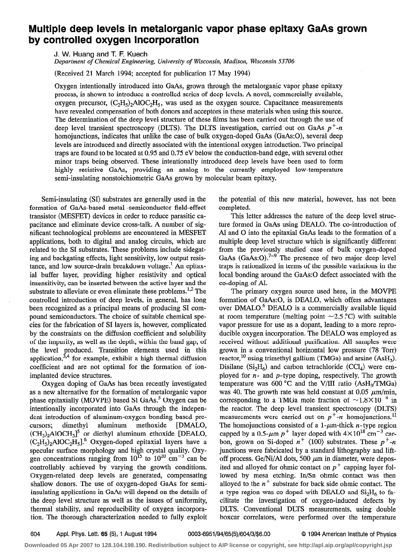## Multiple deep levels in metalorganic vapor phase epitaxy GaAs grown by controlled oxygen incorporation

J. W. Huang and T. F. Kuech

Department of Chemical Engineering, University of Wisconsin, Madison, Wisconsin 53706

(Received 21 March 1994; accepted for publication 17 May 1994)

Oxygen intentionally introduced into GaAs, grown through the metalorganic vapor phase epitaxy process, is shown to introduce a controlled series of deep levels. A novel, commercially available, oxygen precursor,  $(C_2H_5)$ , AlO $C_2H_5$ , was used as the oxygen source. Capacitance measurements have revealed compensation of both donors and acceptors in these materials when using this source. The determination of the deep level structure of these films has been carried out through the use of deep level transient spectroscopy (DLTS). The DLTS investigation, carried out on GaAs  $p^+$ -n homojunctions, indicates that unlike the case of bulk oxygen-doped GaAs (GaAs:O), several deep levels are introduced and directly associated with the intentional oxygen introduction. Two principal traps are found to be located at 0.95 and 0.75 eV below the conduction-band edge, with several other minor traps being observed. These intentionally introduced deep levels have been used to form highly resistive GaAs, providing an analog to the currently employed low-temperature semi-insulating nonstoichiometric GaAs grown by molecular beam epitaxy.

Semi-insulating (SI) substrates are generally used in the formation of GaAs-based metal-semiconductor field-effect transistor (MESPET) devices in order to reduce parasitic capacitance and eliminate device cross-talk. A number of significant technological problems are encountered in MESFET applications, both to digital and analog circuits, which are related to the SI substrates. These problems include sidegating and backgating effects, light sensitivity, low output resistance, and low source-drain breakdown voltage.' An epitaxial buffer layer, providing higher resistivity and optical insensitivity, can be inserted between the active layer and the substrate to alleviate or even eliminate these problems. $^{1,2}$  The controlled introduction of deep levels, in general, has long been recognized as a principal means of producing SI compound semiconductors. The choice of suitable chemical species for the fabrication of SI layers is, however; complicated by the constraints on the diffusion coefficient and solubility of the impurity, as well as the depth, within the band gap, of the level produced. Transition elements used in this application,  $3,4$  for example, exhibit a high thermal diffusion coefficient and are not optimal for the formation of ionimplanted device structures.

Oxygen doping of GaAs has been recently investigated as a new alternative for the formation of metalorganic vapor phase epitaxially (MOVPE) based SI GaAs.<sup>5</sup> Oxygen can be intentionally incorporated into GaAs through the independent introduction of aluminum-oxygen bonding based precursors; dimethyl aluminum methoxide [DMALO,  $(CH<sub>3</sub>)<sub>2</sub>AIOCH<sub>3</sub>$ <sup>5</sup> or diethyl aluminum ethoxide [DEALO,  $(C_2H_5)$ <sub>2</sub>AlOC<sub>2</sub>H<sub>5</sub>].<sup>6</sup> Oxygen-doped epitaxial layers have a specular surface morphology and high crystal quality. Oxygen concentrations ranging from  $10^{15}$  to  $10^{20}$  cm<sup>-3</sup> can be controllably achieved by varying the growth conditions. Oxygen-related deep levels are generated, compensating shallow donors. The use of oxygen-doped GaAs for semiinsulating applications in GaAs will depend on the details of the deep level structure as well as the issues of uniformity, thermal stability, and reproducibility of oxygen incorporation. The thorough characterization needed to fully exploit

the potential of this new material, however, has not been completed.

This letter addresses the nature of the deep level structure formed in GaAs using DEALO. The co-introduction of Al and 0 into the epitaxial GaAs leads to the formation of a multiple deep level structure which is significantly different from the previously studied case of bulk oxygen-doped GaAs  $(GaAs:O).^{7-9}$  The presence of two major deep level traps is rationalized in terms of the possible variations in the local bonding around the GaAs:O defect associated with the co-doping of Al.

The primary oxygen source used here, in the MOVPE formation of GaAs:O, is DEALO, which offers advantages over DMALO.<sup>6</sup> DEALO is a commercially available liquid at room temperature (melting point  $\sim$ 2.5 °C) with suitable vapor pressure for use as a dopant, leading to a more reproducible oxygen incorporation. The DEAL0 was employed as received without additional purification. All samples were grown in a conventional horizontal low pressure (78 Torr) reactor,<sup>10</sup> using trimethyl gallium (TMGa) and arsine  $(AsH<sub>3</sub>)$ . Disilane ( $Si<sub>2</sub>H<sub>6</sub>$ ) and carbon tetrachloride (CCl<sub>4</sub>) were employed for  $n-$  and  $p$ -type doping, respectively. The growth temperature was  $600\text{ °C}$  and the V/III ratio (AsH<sub>3</sub>/TMGa) was 40. The growth rate was held constant at 0.05  $\mu$ m/min, corresponding to a TMGa mole fraction of  $\sim 1.8 \times 10^{-4}$  in the reactor. The deep level transient spectroscopy (DLTS) measurements were carried out on  $p^+$ - $n$  homojunctions.<sup>11</sup> The homojunctions consisted of a 1- $\mu$ m-thick n-type region capped by a 0.5- $\mu$ m p<sup>+</sup> layer doped with  $4\times10^{18}$  cm<sup>-3</sup> carbon, grown on Si-doped  $n^+$   $\langle 100 \rangle$  substrates. These  $p^+$ -n junctions were fabricated by a standard lithography and liftoff process. Ge/Ni/Al dots, 500  $\mu$ m in diameter, were deposited and alloyed for ohmic contact on  $p^+$  capping layer followed by mesa etching. In/Sn ohmic contact was then alloyed to the  $n^+$  substrate for back side ohmic contact. The n-type region was co-doped with DEALO and  $Si<sub>2</sub>H<sub>6</sub>$  to facilitate the investigation of oxygen-induced defects by DLTS. Conventional DLTS measurements, using double boxcar correlators, were performed over the temperature

**Downloaded 05 Apr 2007 to 128.104.198.190. Redistribution subject to AIP license or copyright, see http://apl.aip.org/apl/copyright.jsp**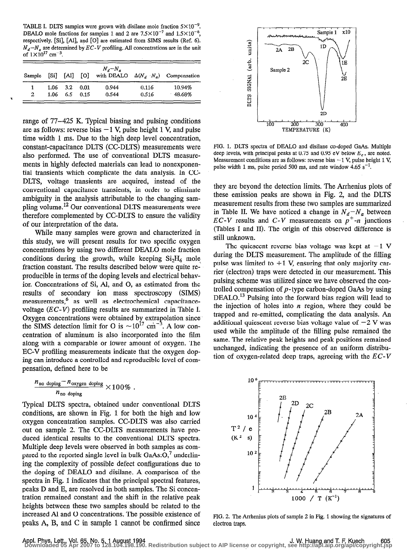TABLE I. DLTS samples were grown with disilane mole fraction  $5 \times 10^{-9}$ . DEALO mole fractions for samples 1 and 2 are  $7.5 \times 10^{-7}$  and  $1.5 \times 10^{-6}$ , respectively. [Si], [Al], and [O] are estimated from SIMS results {Ref. 6).  $N<sub>d</sub>-N<sub>n</sub>$  are determined by EC-V profiling. All concentrations are in the unit of  $1 \times 10^{17}$  cm<sup>-3</sup>.

| Sample | [Si] [Al] |            | - FOT  | $N_d - N_a$ |       | with DEALO $\Delta(N_A-N_a)$ Componsation |
|--------|-----------|------------|--------|-------------|-------|-------------------------------------------|
|        |           | $1.06$ 3.2 | - 0.01 | 0.944       | 0.116 | 10.94%                                    |
| 2      | 1.06      |            | 65 015 | 0.544       | 0.516 | $-48.68\%$                                |
|        |           |            |        |             |       |                                           |

range of 77-425 K. Typical biasing and pulsing conditions are as follows: reverse bias  $-1$  V, pulse height 1 V, and pulse time width 1 ms. Due to the high deep level concentration, constant-capacitance DLTS (CC-DLTS) measurements were also performed. The use of conventional DLTS measurements in highly defected materials can lead to nonexponential transients which complicate the data analysis. In CC-DLTS, voltage transients are acquired, instead of the conventional capacitance transients, in order to eliminate ambiguity in the analysis attributable to the changing sampling volume.<sup>12</sup> Our conventional DLTS measurements were therefore complemented by CC-DLTS to ensure the validity of our interpretation of the data.

While many samples were grown and characterized in this study, we will present results for two specific oxygen concentrations by using two different DEAL0 mole fraction conditions during the growth, while keeping  $Si<sub>2</sub>H<sub>6</sub>$  mole fraction constant. The results described below were quite reproducible in terms-of the doping levels and electrical behavior. Concentrations of Si, Al, and 0, as estimated from the results of secondary ion mass spectroscopy (SIMS) measurements,<sup>6</sup> as well as electrochemical capacitancevoltage  $(EC-V)$  profiling results are summarized in Table I. Oxygen concentrations were obtained by extrapolation since the SIMS detection limit for O is  $\sim 10^{17}$  cm<sup>-3</sup>. A low concentration of aluminum is also incorporated into the film along with a comparable or lower amount of oxygen. The EC-V profiling measurements indicate that the oxygen doping can introduce a controlled and reproducible level of compensation, defined here to be

$$
\frac{n_{\text{no doping}} - n_{\text{oxygen doping}}}{n_{\text{no doping}}} \times 100\%
$$
.

Typical DLTS spectra, obtained under conventional DLTS conditions, are shown in Fig. 1 for both the high and low oxygen concentration samples. CC-DLTS was also carried out on sample 2. The CC-DLTS measurements have produced identical results to the conventional DLTS spectra. Multiple deep levels were observed in both samples as compared to the reported single level in bulk GaAs: $O,$ <sup>7</sup> underlining the complexity of possible defect configurations due to the doping of DEAL0 and disilane. A comparison of the spectra in Fig. 1 indicates that the principal spectral features, peaks D and E, are resolved in both samples. The Si concentration remained constant and the shift in the relative peak heights between these two samples should be related to the increased Al and 0 concentrations. The possible existence of peaks A, B, and C in sample 1 cannot be confirmed since



FIG. 1. DLTS spectra of DEALO and disilane co-doped GaAs. Multiple deep levels, with principal peaks at 0.75 and 0.95 eV below  $E_c$ , are noted. Measurement conditions are as follows: reverse bias  $-1$  V, pulse height 1 V, pulse width 1 ms, pulse period 500 ms, and rate window  $4.65 \text{ s}^{-1}$ .

they are beyond the detection limits. The Arrhenius plots of these emission peaks are shown in Fig. 2, and the DLTS measurement results from these two samples are summarized in Table II. We have noticed a change in  $N_d-N_a$  between EC-V results and C-V measurements on  $p^+$ -n junctions (Tables I and II). The origin of this observed difference is still unknown.

The quiescent reverse bias voltage was kept at  $-1$  V during the DLTS measurement. The amplitude of the filling pulse was limited to  $+1$  V, ensuring that only majority carrier (electron) traps were detected in our measurement. This pulsing scheme was utilized since we have observed the controlled compensation of  $p$ -type carbon-doped GaAs by using DEALO.<sup>13</sup> Pulsing into the forward bias region will lead to the injection of holes into  $n$  region, where they could be trapped and re-emitted, complicating the data analysis. An additional quiescent reverse bias voltage value of  $-2$  V was used while the amplitude of the filling pulse remained the same. The relative peak heights and peak positions remained unchanged, indicating the presence of an uniform distribution of oxygen-related deep traps, agreeing with the  $EC-V$ 



FIG. 2. The Arrhenius plots of sample 2 in Fig. 1 showing the signatures of electron traps.

Appl. Phys. Lett., Vol. 65, No. 5, 1 August 1994<br>Downloaded 05 Apr 2007 to 128.104.198.190. Redistribution subject to AIP license or copyright, see http://apl.aip.org/apl/copyright.jsp